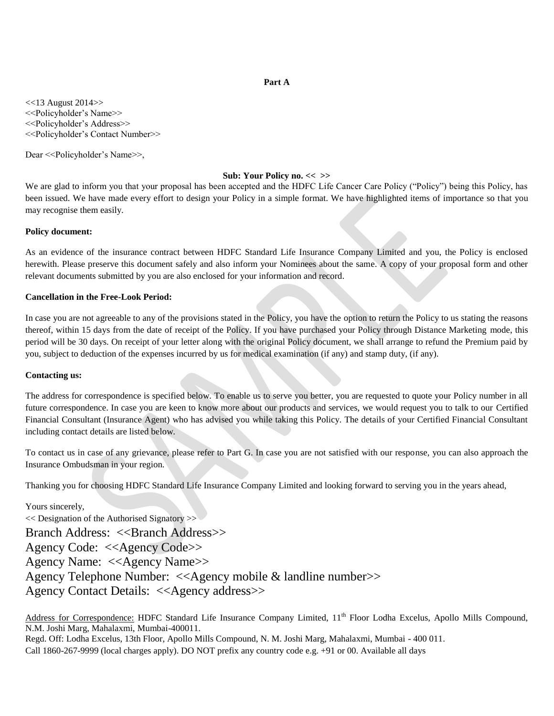# **Part A**

<<13 August 2014>> <<Policyholder's Name>> <<Policyholder's Address>> <<Policyholder's Contact Number>>

Dear <<Policyholder's Name>>,

## **Sub: Your Policy no. << >>**

We are glad to inform you that your proposal has been accepted and the HDFC Life Cancer Care Policy ("Policy") being this Policy, has been issued. We have made every effort to design your Policy in a simple format. We have highlighted items of importance so that you may recognise them easily.

# **Policy document:**

As an evidence of the insurance contract between HDFC Standard Life Insurance Company Limited and you, the Policy is enclosed herewith. Please preserve this document safely and also inform your Nominees about the same. A copy of your proposal form and other relevant documents submitted by you are also enclosed for your information and record.

# **Cancellation in the Free-Look Period:**

In case you are not agreeable to any of the provisions stated in the Policy, you have the option to return the Policy to us stating the reasons thereof, within 15 days from the date of receipt of the Policy. If you have purchased your Policy through Distance Marketing mode, this period will be 30 days. On receipt of your letter along with the original Policy document, we shall arrange to refund the Premium paid by you, subject to deduction of the expenses incurred by us for medical examination (if any) and stamp duty, (if any).

# **Contacting us:**

The address for correspondence is specified below. To enable us to serve you better, you are requested to quote your Policy number in all future correspondence. In case you are keen to know more about our products and services, we would request you to talk to our Certified Financial Consultant (Insurance Agent) who has advised you while taking this Policy. The details of your Certified Financial Consultant including contact details are listed below.

To contact us in case of any grievance, please refer to Part G. In case you are not satisfied with our response, you can also approach the Insurance Ombudsman in your region.

Thanking you for choosing HDFC Standard Life Insurance Company Limited and looking forward to serving you in the years ahead,

Yours sincerely,  $<<$  Designation of the Authorised Signatory  $>>$ Branch Address: <<Branch Address>> Agency Code: <<Agency Code>> Agency Name: <<Agency Name>> Agency Telephone Number: <<Agency mobile & landline number>> Agency Contact Details: <<Agency address>>

Address for Correspondence: HDFC Standard Life Insurance Company Limited, 11<sup>th</sup> Floor Lodha Excelus, Apollo Mills Compound, N.M. Joshi Marg, Mahalaxmi, Mumbai-400011.

Regd. Off: Lodha Excelus, 13th Floor, Apollo Mills Compound, N. M. Joshi Marg, Mahalaxmi, Mumbai - 400 011. Call 1860-267-9999 (local charges apply). DO NOT prefix any country code e.g. +91 or 00. Available all days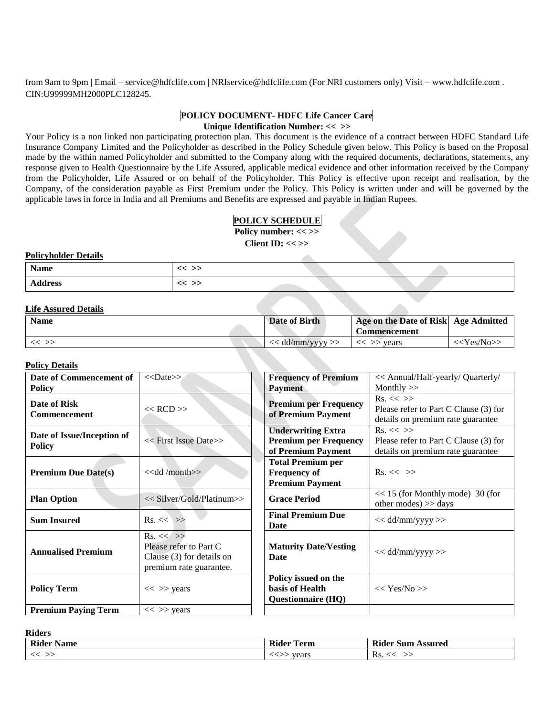from 9am to 9pm | Email – service@hdfclife.com | NRIservice@hdfclife.com (For NRI customers only) Visit – [www.hdfclife.com](http://www.hdfclife.com/) . CIN:U99999MH2000PLC128245.

# **POLICY DOCUMENT- HDFC Life Cancer Care**

**Unique Identification Number: << >>**

Your Policy is a non linked non participating protection plan. This document is the evidence of a contract between HDFC Standard Life Insurance Company Limited and the Policyholder as described in the Policy Schedule given below. This Policy is based on the Proposal made by the within named Policyholder and submitted to the Company along with the required documents, declarations, statements, any response given to Health Questionnaire by the Life Assured, applicable medical evidence and other information received by the Company from the Policyholder, Life Assured or on behalf of the Policyholder. This Policy is effective upon receipt and realisation, by the Company, of the consideration payable as First Premium under the Policy. This Policy is written under and will be governed by the applicable laws in force in India and all Premiums and Benefits are expressed and payable in Indian Rupees.

# **POLICY SCHEDULE**

**Policy number: << >>**

**Client ID: << >>**

# **Policyholder Details**

| Name           | -- -- |  |  |
|----------------|-------|--|--|
| <b>Address</b> |       |  |  |

# **Life Assured Details**

| <b>Name</b> | Date of Birth      | Age on the Date of Risk Age Admitted<br>Commencement |               |
|-------------|--------------------|------------------------------------------------------|---------------|
|             | $<<$ dd/mm/yyyy >> | vears                                                | $<<$ Yes/No>> |

# **Policy Details**

| Date of Commencement of                     | $<<$ Date>>                                                                                       | <b>Frequency of Premium</b>                                                     | << Annual/Half-yearly/ Quarterly/                                                           |
|---------------------------------------------|---------------------------------------------------------------------------------------------------|---------------------------------------------------------------------------------|---------------------------------------------------------------------------------------------|
| <b>Policy</b>                               |                                                                                                   | <b>Payment</b>                                                                  | Monthly $>>$                                                                                |
| <b>Date of Risk</b><br><b>Commencement</b>  | $<<$ RCD $>>$                                                                                     | <b>Premium per Frequency</b><br>of Premium Payment                              | $Rs. \ll \gg$<br>Please refer to Part C Clause (3) for<br>details on premium rate guarantee |
| Date of Issue/Inception of<br><b>Policy</b> | << First Issue Date>>                                                                             | <b>Underwriting Extra</b><br><b>Premium per Frequency</b><br>of Premium Payment | $Rs. \ll \gg$<br>Please refer to Part C Clause (3) for<br>details on premium rate guarantee |
| <b>Premium Due Date(s)</b>                  | < <dd month="">&gt;</dd>                                                                          | <b>Total Premium per</b><br><b>Frequency of</b><br><b>Premium Payment</b>       | $\text{Rs.} \ll \gg$                                                                        |
| <b>Plan Option</b>                          | << Silver/Gold/Platinum>>                                                                         | <b>Grace Period</b>                                                             | $<< 15$ (for Monthly mode) 30 (for<br>other modes) $>>$ days                                |
| <b>Sum Insured</b>                          | $Rs. \ll \gg$                                                                                     | <b>Final Premium Due</b><br>Date                                                | $<<$ dd/mm/yyyy >>                                                                          |
| <b>Annualised Premium</b>                   | $Rs. \ll \gg$<br>Please refer to Part C<br>Clause $(3)$ for details on<br>premium rate guarantee. | <b>Maturity Date/Vesting</b><br>Date                                            | $<<$ dd/mm/yyyy >>                                                                          |
| <b>Policy Term</b>                          | $<<$ >> years                                                                                     | Policy issued on the<br>basis of Health<br><b>Questionnaire (HQ)</b>            | $<<$ Yes/No >>                                                                              |
| <b>Premium Paying Term</b>                  | $<<$ >> years                                                                                     |                                                                                 |                                                                                             |

**Riders** 

| Rider<br>Name | . .<br>Rider<br>'erm | - The P<br>Assured<br>Sur<br>. 10T<br>-Kider |
|---------------|----------------------|----------------------------------------------|
|               | years<br>∼           | Rs.                                          |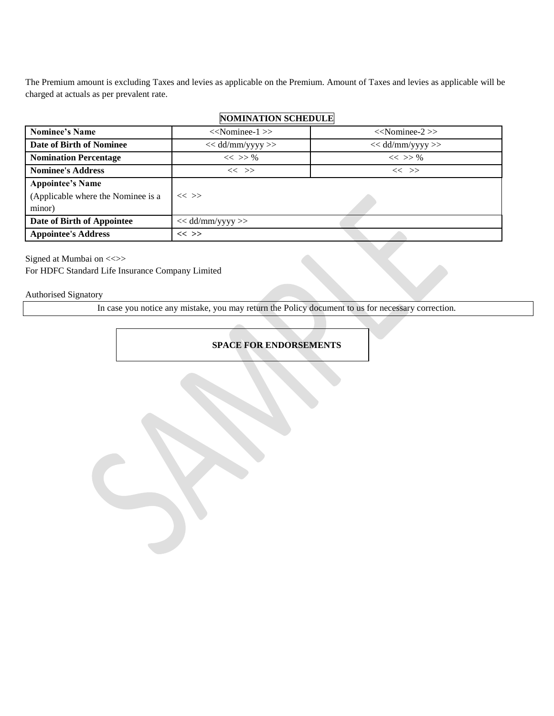The Premium amount is excluding Taxes and levies as applicable on the Premium. Amount of Taxes and levies as applicable will be charged at actuals as per prevalent rate.

| <b>Nominee's Name</b>              | $<<$ Nominee-1 $>>$  | $<<$ Nominee-2 $>>$  |
|------------------------------------|----------------------|----------------------|
| Date of Birth of Nominee           | $<<$ dd/mm/yyyy $>>$ | $<<$ dd/mm/yyyy $>>$ |
| <b>Nomination Percentage</b>       | $<<$ >> %            | $<<$ >> %            |
| <b>Nominee's Address</b>           | $<<$ >>              | $<<$ >>              |
| <b>Appointee's Name</b>            |                      |                      |
| (Applicable where the Nominee is a | $<<$ >>              |                      |
| minor)                             |                      |                      |
| Date of Birth of Appointee         | $<<$ dd/mm/yyyy $>>$ |                      |
| <b>Appointee's Address</b>         | $<<$ >>              |                      |

# **NOMINATION SCHEDULE**

Signed at Mumbai on <<>> For HDFC Standard Life Insurance Company Limited

# Authorised Signatory

In case you notice any mistake, you may return the Policy document to us for necessary correction.

# **SPACE FOR ENDORSEMENTS**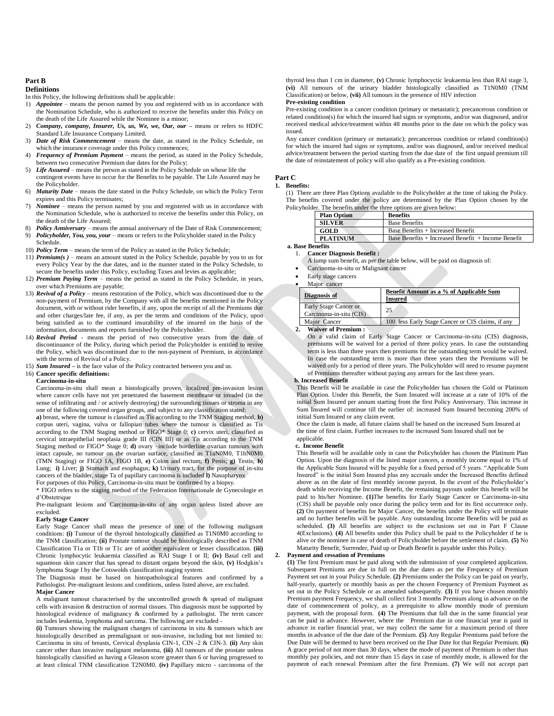# **Part B**

## **Definitions**

- In this Policy, the following definitions shall be applicable:
- 1) *Appointee –* means the person named by you and registered with us in accordance with the Nomination Schedule, who is authorized to receive the benefits under this Policy on the death of the Life Assured while the Nominee is a minor;
- 2) *Company, company, Insurer, Us, us, We, we, Our, our -* means or refers to HDFC Standard Life Insurance Company Limited.
- 3) *Date of Risk Commencement –* means the date, as stated in the Policy Schedule, on which the insurance coverage under this Policy commences;
- 4) *Frequency of Premium Payment* means the period, as stated in the Policy Schedule, between two consecutive Premium due dates for the Policy;
- 5) *Life Assured* means the person as stated in the Policy Schedule on whose life the contingent events have to occur for the Benefits to be payable. The Life Assured may be the Policyholder.
- 6) *Maturity Date* means the date stated in the Policy Schedule, on which the Policy Term expires and this Policy terminates;
- 7) *Nominee* means the person named by you and registered with us in accordance with the Nomination Schedule, who is authorized to receive the benefits under this Policy, on the death of the Life Assured;
- 8) *Policy Anniversary –* means the annual anniversary of the Date of Risk Commencement;
- Policyholder, You, you, your means or refers to the Policyholder stated in the Policy Schedule.
- 10) *Policy Term* means the term of the Policy as stated in the Policy Schedule;
- 11) *Premium(s )* means an amount stated in the Policy Schedule, payable by you to us for every Policy Year by the due dates, and in the manner stated in the Policy Schedule, to secure the benefits under this Policy, excluding Taxes and levies as applicable;
- 12) *Premium Paying Term –* means the period as stated in the Policy Schedule, in years, over which Premiums are payable;
- 13) *Revival of a Policy –* means restoration of the Policy, which was discontinued due to the non-payment of Premium, by the Company with all the benefits mentioned in the Policy document, with or without rider benefits, if any, upon the receipt of all the Premiums due and other charges/late fee, if any, as per the terms and conditions of the Policy, upon being satisfied as to the continued insurability of the insured on the basis of the information, documents and reports furnished by the Policyholder.
- 14) *Revival Period -* means the period of two consecutive years from the date of discontinuance of the Policy, during which period the Policyholder is entitled to revive the Policy, which was discontinued due to the non-payment of Premium, in accordance with the terms of Revival of a Policy.
- 15) *Sum Insured –* is the face value of the Policy contracted between you and us.

## 16) **Cancer specific definitions:**

## **Carcinoma-in-situ**

Carcinoma-in-situ shall mean a histologically proven, localized pre-invasion lesion where cancer cells have not yet penetrated the basement membrane or invaded (in the sense of infiltrating and / or actively destroying) the surrounding tissues or stroma in any one of the following covered organ groups, and subject to any classification stated:

**a)** breast, where the tumour is classified as Tis according to the TNM Staging method, **b)** corpus uteri, vagina, vulva or fallopian tubes where the tumour is classified as Tis according to the TNM Staging method or FIGO\* Stage 0; **c)** cervix uteri, classified as cervical intraepithelial neoplasia grade III (CIN III) or as Tis according to the TNM Staging method or FIGO\* Stage 0; **d)** ovary –include borderline ovarian tumours with intact capsule, no tumour on the ovarian surface, classified as T1aN0M0, T1bN0M0 (TMN Staging) or FIGO 1A, FIGO 1B, **e)** Colon and rectum; **f)** Penis; **g)** Testis; **h)** Lung; **i)** Liver; **j)** Stomach and esophagus; **k)** Urinary tract, for the purpose of in-situ cancers of the bladder, stage Ta of papillary carcinoma is included **l)** Nasopharynx For purposes of this Policy, Carcinoma-in-situ must be confirmed by a biopsy.

\* FIGO refers to the staging method of the Federation Internationale de Gynecologie et d'Obstetrique

Pre-malignant lesions and Carcinoma-in-situ of any organ unless listed above are excluded.

### **Early Stage Cancer**

Early Stage Cancer shall mean the presence of one of the following malignant conditions: **(i)** Tumour of the thyroid histologically classified as T1N0M0 according to the TNM classification; **(ii)** Prostate tumour should be histologically described as TNM Classification T1a or T1b or T1c are of another equivalent or lesser classification. **(iii)** Chronic lymphocytic leukaemia classified as RAI Stage I or II; **(iv)** Basal cell and squamous skin cancer that has spread to distant organs beyond the skin, **(v)** Hodgkin's lymphoma Stage I by the Cotswolds classification staging system.

The Diagnosis must be based on histopathological features and confirmed by a Pathologist. Pre-malignant lesions and conditions, unless listed above, are excluded. **Major Cancer** 

A malignant tumour characterised by the uncontrolled growth & spread of malignant cells with invasion & destruction of normal tissues. This diagnosis must be supported by histological evidence of malignancy & confirmed by a pathologist. The term cancer includes leukemia, lymphoma and sarcoma. The following are excluded -

**(i)** Tumours showing the malignant changes of carcinoma in situ & tumours which are histologically described as premalignant or non-invasive, including but not limited to: Carcinoma in situ of breasts, Cervical dysplasia CIN-1, CIN -2 & CIN-3. **(ii)** Any skin cancer other than invasive malignant melanoma, **(iii)** All tumours of the prostate unless histologically classified as having a Gleason score greater than 6 or having progressed to at least clinical TNM classification T2N0M0. **(iv)** Papillary micro - carcinoma of the

thyroid less than 1 cm in diameter, **(v)** Chronic lymphocyctic leukaemia less than RAI stage 3, **(vi)** All tumours of the urinary bladder histologically classified as T1N0M0 (TNM Classification) or below, **(vii)** All tumours in the presence of HIV infection

## **Pre-existing condition**

Pre-existing condition is a cancer condition (primary or metastatic); precancerous condition or related condition(s) for which the insured had signs or symptoms, and/or was diagnosed, and/or received medical advice/treatment within 48 months prior to the date on which the policy was issued.

Any cancer condition (primary or metastatic); precancerous condition or related condition(s) for which the insured had signs or symptoms, and/or was diagnosed, and/or received medical advice/treatment between the period starting from the due date of the first unpaid premium till the date of reinstatement of policy will also qualify as a Pre-existing condition.

#### **Part C**

#### **1. Benefits:**

(1) There are three Plan Options available to the Policyholder at the time of taking the Policy. The benefits covered under the policy are determined by the Plan Option chosen by the Policyholder. The benefits under the three options are given below:

| <b>Plan Option</b> | <b>Benefits</b>                                    |
|--------------------|----------------------------------------------------|
| <b>SILVER</b>      | <b>Base Benefits</b>                               |
| <b>GOLD</b>        | Base Benefits + Increased Benefit                  |
| <b>PLATINUM</b>    | Base Benefits + Increased Benefit + Income Benefit |

#### **a. Base Benefits** 1. **Cancer Diagnosis Benefit :**

A lump sum benefit, as per the table below, will be paid on diagnosis of:

- Carcinoma-in-situ or Malignant cancer
- Early stage cancers
- Major cancer

| Diagnosis of                                     | Benefit Amount as a % of Applicable Sum<br><b>Insured</b> |
|--------------------------------------------------|-----------------------------------------------------------|
| Early Stage Cancer or<br>Carcinoma-in-situ (CIS) | 25                                                        |
| Maior Cancer                                     | 100 less Early Stage Cancer or CIS claims, if any         |
| <b>WWY e</b><br>$\sim$                           |                                                           |

**2. Waiver of Premium :**

On a valid claim of Early Stage Cancer or Carcinoma-in-situ (CIS) diagnosis, premiums will be waived for a period of three policy years. In case the outstanding term is less than three years then premiums for the outstanding term would be waived. In case the outstanding term is more than three years then the Premiums will be waived only for a period of three years. The Policyholder will need to resume payment of Premiums thereafter without paying any arrears for the last three years.

## **b. Increased Benefit**

This Benefit will be available in case the Policyholder has chosen the Gold or Platinum Plan Option. Under this Benefit, the Sum Insured will increase at a rate of 10% of the initial Sum Insured per annum starting from the first Policy Anniversary. This increase in Sum Insured will continue till the earlier of: increased Sum Insured becoming 200% of initial Sum Insured or any claim event.

Once the claim is made, all future claims shall be based on the increased Sum Insured at the time of first claim. Further increases to the increased Sum Insured shall not be

#### applicable. **c. Income Benefit**

This Benefit will be available only in case the Policyholder has chosen the Platinum Plan Option. Upon the diagnosis of the listed major cancers, a monthly income equal to 1% of the Applicable Sum Insured will be payable for a fixed period of 5 years. "Applicable Sum Insured" is the initial Sum Insured plus any accruals under the Increased Benefits defined above as on the date of first monthly income payout. In the event of the Policyholder's death while receiving the Income Benefit, the remaining payouts under this benefit will be paid to his/her Nominee. **(1)**The benefits for Early Stage Cancer or Carcinoma-in-situ (CIS) shall be payable only once during the policy term and for its first occurrence only. **(2)** On payment of benefits for Major Cancer, the benefits under the Policy will terminate and no further benefits will be payable. Any outstanding Income Benefits will be paid as scheduled. **(3)** All benefits are subject to the exclusions set out in Part F Clause 4(Exclusions). **(4)** All benefits under this Policy shall be paid to the Policyholder if he is alive or the nominee in case of death of Policyholder before the settlement of claim. **(5)** No Maturity Benefit, Surrender, Paid up or Death Benefit is payable under this Policy.

#### **2. Payment and cessation of Premiums**

**(1)** The first Premium must be paid along with the submission of your completed application. Subsequent Premiums are due in full on the due dates as per the Frequency of Premium Payment set out in your Policy Schedule. **(2)** Premiums under the Policy can be paid on yearly, half-yearly, quarterly or monthly basis as per the chosen Frequency of Premium Payment as set out in the Policy Schedule or as amended subsequently. **(3)** If you have chosen monthly Premium payment Frequency, we shall collect first 3 months Premium along in advance on the date of commencement of policy, as a prerequisite to allow monthly mode of premium payment, with the proposal form. **(4)** The Premiums that fall due in the same financial year can be paid in advance. However, where the Premium due in one financial year is paid in advance in earlier financial year, we may collect the same for a maximum period of three months in advance of the due date of the Premium. **(5)** Any Regular Premiums paid before the Due Date will be deemed to have been received on the Due Date for that Regular Premium. **(6)** A grace period of not more than 30 days, where the mode of payment of Premium is other than monthly pay policies, and not more than 15 days in case of monthly mode, is allowed for the payment of each renewal Premium after the first Premium. **(7)** We will not accept part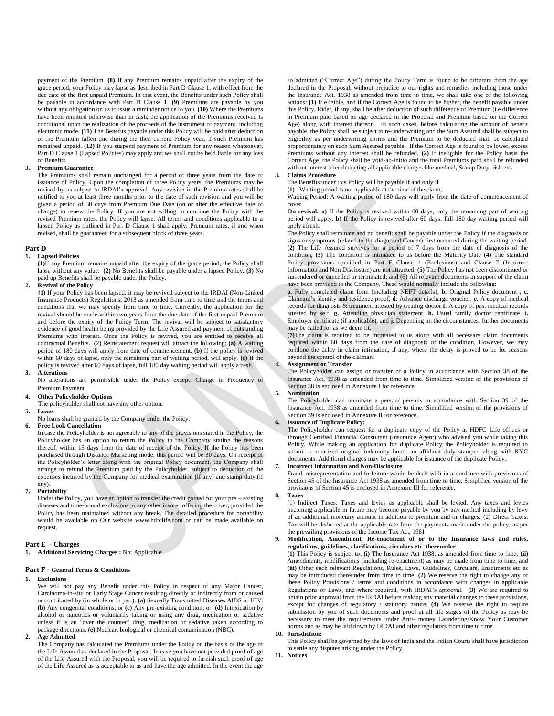payment of the Premium. **(8)** If any Premium remains unpaid after the expiry of the grace period, your Policy may lapse as described in Part D Clause 1, with effect from the due date of the first unpaid Premium. In that event, the Benefits under such Policy shall be payable in accordance with Part D Clause 1. **(9)** Premiums are payable by you without any obligation on us to issue a reminder notice to you. **(10)** Where the Premiums have been remitted otherwise than in cash, the application of the Premiums received is conditional upon the realization of the proceeds of the instrument of payment, including electronic mode. **(11)** The Benefits payable under this Policy will be paid after deduction of the Premium fallen due during the then current Policy year, if such Premium has remained unpaid. **(12)** If you suspend payment of Premium for any reason whatsoever, Part D Clause 1 (Lapsed Policies) may apply and we shall not be held liable for any loss of Benefits.

## **3. Premium Guarantee**

The Premiums shall remain unchanged for a period of three years from the date of issuance of Policy. Upon the completion of three Policy years, the Premiums may be revised by us subject to IRDAI's approval. Any revision in the Premium rates shall be notified to you at least three months prior to the date of such revision and you will be given a period of 30 days from Premium Due Date (on or after the effective date of change) to renew the Policy. If you are not willing to continue the Policy with the revised Premium rates, the Policy will lapse. All terms and conditions applicable to a lapsed Policy as outlined in Part D Clause 1 shall apply. Premium rates, if and when revised, shall be guaranteed for a subsequent block of three years.

## **Part D**

### **1. Lapsed Policies**

**(1)**If any Premium remains unpaid after the expiry of the grace period, the Policy shall lapse without any value. **(2)** No Benefits shall be payable under a lapsed Policy. **(3)** No paid up Benefits shall be payable under the Policy.

#### **2. Revival of the Policy**

**(1)** If your Policy has been lapsed, it may be revived subject to the IRDAI (Non-Linked Insurance Products) Regulations, 2013 as amended from time to time and the terms and conditions that we may specify from time to time. Currently, the application for the revival should be made within two years from the due date of the first unpaid Premium and before the expiry of the Policy Term. The revival will be subject to satisfactory evidence of good health being provided by the Life Assured and payment of outstanding Premiums with interest. Once the Policy is revived, you are entitled to receive all contractual Benefits. (2) Reinstatement request will attract the following: **(a)** A waiting period of 180 days will apply from date of commencement. **(b)** If the policy is revived within 60 days of lapse, only the remaining part of waiting period, will apply. **(c)** If the policy is revived after 60 days of lapse, full 180 day waiting period will apply afresh.

## **3. Alterations**

No alterations are permissible under the Policy except: Change in Frequency of Premium Payment

#### **4. Other Policyholder Options**

The policyholder shall not have any other option.

## **5. Loans**

No loans shall be granted by the Company under the Policy.

## **6. Free Look Cancellation**

In case the Policyholder is not agreeable to any of the provisions stated in the Policy, the Policyholder has an option to return the Policy to the Company stating the reasons thereof, within 15 days from the date of receipt of the Policy. If the Policy has been purchased through Distance Marketing mode, this period will be 30 days. On receipt of the Policyholder's letter along with the original Policy document, the Company shall arrange to refund the Premium paid by the Policyholder, subject to deduction of the expenses incurred by the Company for medical examination (if any) and stamp duty,(if any).

#### **7. Portability**

Under the Policy, you have an option to transfer the credit gained for your pre – existing diseases and time-bound exclusions to any other insurer offering the cover, provided the Policy has been maintained without any break. The detailed procedure for portability would be available on Our website [www.hdfclife.com](http://www.hdfclife.com/) or can be made available on request.

#### **Part E - Charges**

**1. Additional Servicing Charges :** Not Applicable

#### **Part F - General Terms & Conditions**

#### **1. Exclusions**

We will not pay any Benefit under this Policy in respect of any Major Cancer, Carcinoma-in-situ or Early Stage Cancer resulting directly or indirectly from or caused or contributed by (in whole or in part): **(a)** Sexually Transmitted Diseases AIDS or HIV. **(b)** Any congenital conditions; or **(c)** Any pre-existing condition; or **(d)** Intoxication by alcohol or narcotics or voluntarily taking or using any drug, medication or sedative unless it is an "over the counter" drug, medication or sedative taken according to package directions*.* **(e)** Nuclear, biological or chemical contamination (NBC).

#### **2. Age Admitted**

The Company has calculated the Premiums under the Policy on the basis of the age of the Life Assured as declared in the Proposal. In case you have not provided proof of age of the Life Assured with the Proposal, you will be required to furnish such proof of age of the Life Assured as is acceptable to us and have the age admitted. In the event the age

so admitted ("Correct Age") during the Policy Term is found to be different from the age declared in the Proposal, without prejudice to our rights and remedies including those under the Insurance Act, 1938 as amended from time to time, we shall take one of the following actions: **(1)** If eligible, and if the Correct Age is found to be higher, the benefit payable under this Policy, Rider, if any, shall be after deduction of such difference of Premium (i.e difference in Premium paid based on age declared in the Proposal and Premium based on the Correct Age) along with interest thereon. In such cases, before calculating the amount of benefit payable, the Policy shall be subject to re-underwriting and the Sum Assured shall be subject to eligibility as per underwriting norms and the Premium to be deducted shall be calculated proportionately on such Sum Assured payable. If the Correct Age is found to be lower, excess Premiums without any interest shall be refunded. **(2)** If ineligible for the Policy basis the Correct Age, the Policy shall be void-ab-initio and the total Premiums paid shall be refunded without interest after deducting all applicable charges like medical, Stamp Duty, risk etc.

#### **3. Claims Procedure**

The Benefits under this Policy will be payable if and only if

**(1)** Waiting period is not applicable at the time of the claim,

Waiting Period: A waiting period of 180 days will apply from the date of commencement of cover.

**On revival: a)** If the Policy is revived within 60 days, only the remaining part of waiting period will apply. **b)** If the Policy is revived after 60 days, full 180 day waiting period will apply afresh.

The Policy shall terminate and no benefit shall be payable under the Policy if the diagnosis or signs or symptoms (related to the diagnosed Cancer) first occurred during the waiting period. **(2)** The Life Assured survives for a period of 7 days from the date of diagnosis of the condition, **(3)** The condition is intimated to us before the Maturity Date **(4)** The standard Policy provisions specified in Part F Clause 1 (Exclusions) and Clause 7 (Incorrect Information and Non Disclosure) are not attracted, **(5)** The Policy has not been discontinued or surrendered or cancelled or terminated; and (6) All relevant documents in support of the claim have been provided to the Company. These would normally include the following:

**a**. Fully completed claim form (including NEFT details), **b.** Original Policy document , **c.** Claimant's identity and residence proof, **d.** Advance discharge voucher, **e.** A copy of medical records for diagnosis & treatment attested by treating doctor **f.** A copy of past medical records attested by self, **g.** Attending physician statement, **h.** Usual family doctor certificate, **i.** Employer certificate (if applicable), and **j.** Depending on the circumstances, further documents may be called for as we deem fit.

**(7)**The claim is required to be intimated to us along with all necessary claim documents required within 60 days from the date of diagnosis of the condition. However, we may condone the delay in claim intimation, if any, where the delay is proved to be for reasons beyond the control of the claimant

#### **4. Assignment or Transfer**

The Policyholder can assign or transfer of a Policy in accordance with Section 38 of the Insurance Act, 1938 as amended from time to time. Simplified version of the provisions of Section 38 is enclosed in Annexure I for reference.

## **5. Nomination**

The Policyholder can nominate a person/ persons in accordance with Section 39 of the Insurance Act, 1938 as amended from time to time. Simplified version of the provisions of Section 39 is enclosed in Annexure II for reference.

## **6. Issuance of Duplicate Policy:**

The Policyholder can request for a duplicate copy of the Policy at HDFC Life offices or through Certified Financial Consultant (Insurance Agent) who advised you while taking this Policy. While making an application for duplicate Policy the Policyholder is required to submit a notarized original indemnity bond, an affidavit duly stamped along with KYC documents. Additional charges may be applicable for issuance of the duplicate Policy.

**7. Incorrect Information and Non-Disclosure**

Fraud, misrepresentation and forfeiture would be dealt with in accordance with provisions of Section 45 of the Insurance Act 1938 as amended from time to time. Simplified version of the provisions of Section 45 is enclosed in Annexure III for reference.

## **8. Taxes**

(1) Indirect Taxes: Taxes and levies as applicable shall be levied. Any taxes and levies becoming applicable in future may become payable by you by any method including by levy of an additional monetary amount in addition to premium and or charges. (2) Direct Taxes: Tax will be deducted at the applicable rate from the payments made under the policy, as per the prevailing provisions of the Income Tax Act, 1961

### **9. Modification, Amendment, Re-enactment of or to the Insurance laws and rules, regulations, guidelines, clarifications, circulars etc. thereunder**

**(1)** This Policy is subject to: **(i)** The Insurance Act 1938, as amended from time to time, **(ii)** Amendments, modifications (including re-enactment) as may be made from time to time, and **(iii)** Other such relevant Regulations, Rules, Laws, Guidelines, Circulars, Enactments etc as may be introduced thereunder from time to time. **(2)** We reserve the right to change any of these Policy Provisions / terms and conditions in accordance with changes in applicable Regulations or Laws, and where required, with IRDAI's approval. **(3)** We are required to obtain prior approval from the IRDAI before making any material changes to these provisions, except for changes of regulatory / statutory nature. **(4)** We reserve the right to require submission by you of such documents and proof at all life stages of the Policy as may be necessary to meet the requirements under Anti- money Laundering/Know Your Customer norms and as may be laid down by IRDAI and other regulators from time to time.

#### **10. Jurisdiction:**

This Policy shall be governed by the laws of India and the Indian Courts shall have jurisdiction to settle any disputes arising under the Policy.

**11. Notices**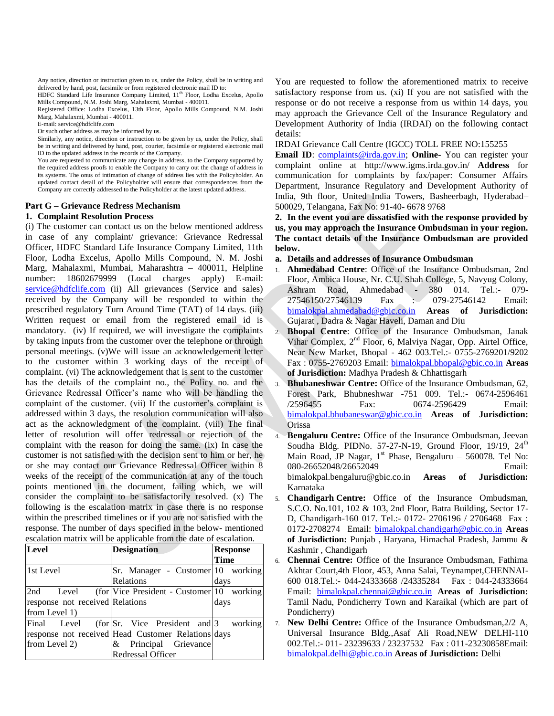Any notice, direction or instruction given to us, under the Policy, shall be in writing and delivered by hand, post, facsimile or from registered electronic mail ID to:

HDFC Standard Life Insurance Company Limited, 11<sup>th</sup> Floor, Lodha Excelus, Apollo Mills Compound, N.M. Joshi Marg, Mahalaxmi, Mumbai - 400011.

Registered Office: Lodha Excelus, 13th Floor, Apollo Mills Compound, N.M. Joshi Marg, Mahalaxmi, Mumbai - 400011.

E-mail: service@hdfclife.com

Or such other address as may be informed by us.

Similarly, any notice, direction or instruction to be given by us, under the Policy, shall be in writing and delivered by hand, post, courier, facsimile or registered electronic mail ID to the updated address in the records of the Company.

You are requested to communicate any change in address, to the Company supported by the required address proofs to enable the Company to carry out the change of address in its systems. The onus of intimation of change of address lies with the Policyholder. An updated contact detail of the Policyholder will ensure that correspondences from the Company are correctly addressed to the Policyholder at the latest updated address.

## **Part G – Grievance Redress Mechanism**

## **1. Complaint Resolution Process**

(i) The customer can contact us on the below mentioned address in case of any complaint/ grievance: Grievance Redressal Officer, HDFC Standard Life Insurance Company Limited, 11th Floor, Lodha Excelus, Apollo Mills Compound, N. M. Joshi Marg, Mahalaxmi, Mumbai, Maharashtra – 400011, Helpline number: 18602679999 (Local charges apply) E-mail: [service@hdfclife.com](mailto:service@hdfclife.com) (ii) All grievances (Service and sales) received by the Company will be responded to within the prescribed regulatory Turn Around Time (TAT) of 14 days. (iii) Written request or email from the registered email id is mandatory. (iv) If required, we will investigate the complaints by taking inputs from the customer over the telephone or through personal meetings. (v)We will issue an acknowledgement letter to the customer within 3 working days of the receipt of complaint. (vi) The acknowledgement that is sent to the customer has the details of the complaint no., the Policy no. and the Grievance Redressal Officer's name who will be handling the complaint of the customer. (vii) If the customer's complaint is addressed within 3 days, the resolution communication will also act as the acknowledgment of the complaint. (viii) The final letter of resolution will offer redressal or rejection of the complaint with the reason for doing the same. (ix) In case the customer is not satisfied with the decision sent to him or her, he or she may contact our Grievance Redressal Officer within 8 weeks of the receipt of the communication at any of the touch points mentioned in the document, failing which, we will consider the complaint to be satisfactorily resolved. (x) The following is the escalation matrix in case there is no response within the prescribed timelines or if you are not satisfied with the response. The number of days specified in the below- mentioned escalation matrix will be applicable from the date of escalation.

| <b>Level</b>                    | <b>Designation</b>                                      | <b>Response</b> |
|---------------------------------|---------------------------------------------------------|-----------------|
|                                 |                                                         | <b>Time</b>     |
| 1st Level                       | Sr. Manager - Customer 10 working                       |                 |
|                                 | Relations                                               | days            |
| 2nd<br>Level                    | (for Vice President - Customer 10 working)              |                 |
| response not received Relations |                                                         | days            |
| from Level 1)                   |                                                         |                 |
| Final<br>Level                  | (for $\text{Sr.}$ Vice President and $\text{3}$ working |                 |
|                                 | response not received Head Customer Relations days      |                 |
| from Level 2)                   | & Principal Grievance                                   |                 |
|                                 | Redressal Officer                                       |                 |

You are requested to follow the aforementioned matrix to receive satisfactory response from us. (xi) If you are not satisfied with the response or do not receive a response from us within 14 days, you may approach the Grievance Cell of the Insurance Regulatory and Development Authority of India (IRDAI) on the following contact details:

IRDAI Grievance Call Centre (IGCC) TOLL FREE NO:155255

**Email ID:** [complaints@irda.gov.in;](mailto:complaints@irda.gov.in) **Online**- You can register your complaint online at http://www.igms.irda.gov.in/ **Address** for communication for complaints by fax/paper: Consumer Affairs Department, Insurance Regulatory and Development Authority of India, 9th floor, United India Towers, Basheerbagh, Hyderabad– 500029, Telangana, Fax No: 91-40- 6678 9768

**2. In the event you are dissatisfied with the response provided by us, you may approach the Insurance Ombudsman in your region. The contact details of the Insurance Ombudsman are provided below.** 

**a. Details and addresses of Insurance Ombudsman**

- 1. **Ahmedabad Centre**: Office of the Insurance Ombudsman, 2nd Floor, Ambica House, Nr. C.U. Shah College, 5, Navyug Colony, Ashram Road, Ahmedabad - 380 014. Tel.:- 079- 27546150/27546139 Fax : 079-27546142 Email: [bimalokpal.ahmedabad@gbic.co.in](mailto:bimalokpal.ahmedabad@gbic.co.in) **Areas of Jurisdiction:**  Gujarat , Dadra & Nagar Haveli, Daman and Diu
- 2. **Bhopal Centre**: Office of the Insurance Ombudsman, Janak Vihar Complex, 2<sup>nd</sup> Floor, 6, Malviya Nagar, Opp. Airtel Office, Near New Market, Bhopal - 462 003.Tel.:- 0755-2769201/9202 Fax : 0755-2769203 Email: [bimalokpal.bhopal@gbic.co.in](mailto:bimalokpal.bhopal@gbic.co.in) **Areas of Jurisdiction:** Madhya Pradesh & Chhattisgarh
- 3. **Bhubaneshwar Centre:** Office of the Insurance Ombudsman, 62, Forest Park, Bhubneshwar -751 009. Tel.:- 0674-2596461 /2596455 Fax: 0674-2596429 Email: [bimalokpal.bhubaneswar@gbic.co.in](mailto:bimalokpal.bhubaneswar@gbic.co.in) **Areas of Jurisdiction:**  Orissa
- 4. **Bengaluru Centre:** Office of the Insurance Ombudsman, Jeevan Soudha Bldg. PIDNo.  $57-27-N-19$ , Ground Floor,  $19/19$ ,  $24<sup>th</sup>$ Main Road, JP Nagar,  $1<sup>st</sup>$  Phase, Bengaluru – 560078. Tel No: 080-26652048/26652049 Email: bimalokpal.bengaluru@gbic.co.in **Areas of Jurisdiction:**  Karnataka
- 5. **Chandigarh Centre:** Office of the Insurance Ombudsman, S.C.O. No.101, 102 & 103, 2nd Floor, Batra Building, Sector 17- D, Chandigarh-160 017. Tel.:- 0172- 2706196 / 2706468 Fax : 0172-2708274 Email: [bimalokpal.chandigarh@gbic.co.in](mailto:bimalokpal.chandigarh@gbic.co.in) **Areas of Jurisdiction:** Punjab , Haryana, Himachal Pradesh, Jammu & Kashmir , Chandigarh
- 6. **Chennai Centre:** Office of the Insurance Ombudsman, Fathima Akhtar Court,4th Floor, 453, Anna Salai, Teynampet,CHENNAI-600 018.Tel.:- 044-24333668 /24335284 Fax : 044-24333664 Email: [bimalokpal.chennai@gbic.co.in](mailto:bimalokpal.chennai@gbic.co.in) **Areas of Jurisdiction:**  Tamil Nadu, Pondicherry Town and Karaikal (which are part of Pondicherry)
- 7. **New Delhi Centre:** Office of the Insurance Ombudsman,2/2 A, Universal Insurance Bldg.,Asaf Ali Road,NEW DELHI-110 002.Tel.:- 011- 23239633 / 23237532 Fax : 011-23230858Email: [bimalokpal.delhi@gbic.co.in](mailto:bimalokpal.delhi@gbic.co.in) **Areas of Jurisdiction:** Delhi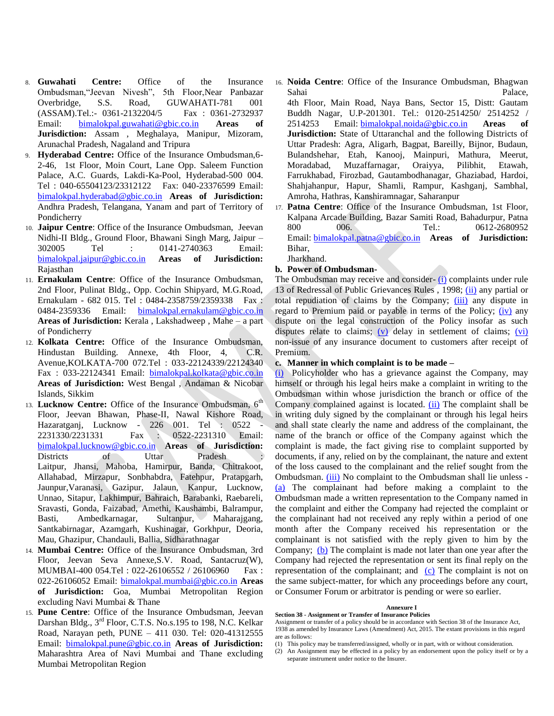- 8. **Guwahati Centre:** Office of the Insurance Ombudsman,"Jeevan Nivesh", 5th Floor,Near Panbazar Overbridge, S.S. Road, GUWAHATI-781 001 (ASSAM).Tel.:- 0361-2132204/5 Fax : 0361-2732937 Email: [bimalokpal.guwahati@gbic.co.in](mailto:bimalokpal.guwahati@gbic.co.in) **Areas of Jurisdiction:** Assam , Meghalaya, Manipur, Mizoram, Arunachal Pradesh, Nagaland and Tripura
- 9. **Hyderabad Centre:** Office of the Insurance Ombudsman,6- 2-46, 1st Floor, Moin Court, Lane Opp. Saleem Function Palace, A.C. Guards, Lakdi-Ka-Pool, Hyderabad-500 004. Tel : 040-65504123/23312122 Fax: 040-23376599 Email: [bimalokpal.hyderabad@gbic.co.in](mailto:bimalokpal.hyderabad@gbic.co.in) **Areas of Jurisdiction:**  Andhra Pradesh, Telangana, Yanam and part of Territory of Pondicherry
- 10. **Jaipur Centre**: Office of the Insurance Ombudsman, Jeevan Nidhi-II Bldg., Ground Floor, Bhawani Singh Marg, Jaipur – 302005 Tel : 0141-2740363 Email: [bimalokpal.jaipur@gbic.co.in](mailto:bimalokpal.jaipur@gbic.co.in) **Areas of Jurisdiction:** Rajasthan
- 11. **Ernakulam Centre**: Office of the Insurance Ombudsman, 2nd Floor, Pulinat Bldg., Opp. Cochin Shipyard, M.G.Road, Ernakulam - 682 015. Tel : 0484-2358759/2359338 Fax : 0484-2359336 Email: [bimalokpal.ernakulam@gbic.co.in](mailto:bimalokpal.ernakulam@gbic.co.in) **Areas of Jurisdiction:** Kerala , Lakshadweep , Mahe – a part of Pondicherry
- 12. **Kolkata Centre:** Office of the Insurance Ombudsman, Hindustan Building. Annexe, 4th Floor, 4, C.R. Avenue,KOLKATA-700 072.Tel : 033-22124339/22124340 Fax : 033-22124341 Email: [bimalokpal.kolkata@gbic.co.in](mailto:bimalokpal.kolkata@gbic.co.in) **Areas of Jurisdiction:** West Bengal , Andaman & Nicobar Islands, Sikkim
- 13. **Lucknow Centre:** Office of the Insurance Ombudsman, 6th Floor, Jeevan Bhawan, Phase-II, Nawal Kishore Road, Hazaratganj, Lucknow - 226 001. Tel : 0522 - 2231330/2231331 Fax : 0522-2231310 Email: [bimalokpal.lucknow@gbic.co.in](mailto:bimalokpal.lucknow@gbic.co.in) **Areas of Jurisdiction:**  Districts of Uttar Pradesh Laitpur, Jhansi, Mahoba, Hamirpur, Banda, Chitrakoot, Allahabad, Mirzapur, Sonbhabdra, Fatehpur, Pratapgarh, Jaunpur,Varanasi, Gazipur, Jalaun, Kanpur, Lucknow, Unnao, Sitapur, Lakhimpur, Bahraich, Barabanki, Raebareli, Sravasti, Gonda, Faizabad, Amethi, Kaushambi, Balrampur, Basti, Ambedkarnagar, Sultanpur, Maharajgang, Santkabirnagar, Azamgarh, Kushinagar, Gorkhpur, Deoria, Mau, Ghazipur, Chandauli, Ballia, Sidharathnagar
- 14. **Mumbai Centre:** Office of the Insurance Ombudsman, 3rd Floor, Jeevan Seva Annexe,S.V. Road, Santacruz(W), MUMBAI-400 054.Tel : 022-26106552 / 26106960 Fax : 022-26106052 Email: [bimalokpal.mumbai@gbic.co.in](mailto:bimalokpal.mumbai@gbic.co.in) **Areas of Jurisdiction:** Goa, Mumbai Metropolitan Region excluding Navi Mumbai & Thane
- 15. **Pune Centre**: Office of the Insurance Ombudsman, Jeevan Darshan Bldg., 3rd Floor, C.T.S. No.s.195 to 198, N.C. Kelkar Road, Narayan peth, PUNE – 411 030. Tel: 020-41312555 Email: [bimalokpal.pune@gbic.co.in](mailto:bimalokpal.pune@gbic.co.in) **Areas of Jurisdiction:** Maharashtra Area of Navi Mumbai and Thane excluding Mumbai Metropolitan Region

16. **Noida Centre**: Office of the Insurance Ombudsman, Bhagwan Sahai Palace, 4th Floor, Main Road, Naya Bans, Sector 15, Distt: Gautam

Buddh Nagar, U.P-201301. Tel.: 0120-2514250/ 2514252 / 2514253 Email: [bimalokpal.noida@gbic.co.in](mailto:bimalokpal.noida@gbic.co.in) **Areas of Jurisdiction:** State of Uttaranchal and the following Districts of Uttar Pradesh: Agra, Aligarh, Bagpat, Bareilly, Bijnor, Budaun, Bulandshehar, Etah, Kanooj, Mainpuri, Mathura, Meerut, Moradabad, Muzaffarnagar, Oraiyya, Pilibhit, Etawah, Farrukhabad, Firozbad, Gautambodhanagar, Ghaziabad, Hardoi, Shahjahanpur, Hapur, Shamli, Rampur, Kashganj, Sambhal, Amroha, Hathras, Kanshiramnagar, Saharanpur

17. **Patna Centre**: Office of the Insurance Ombudsman, 1st Floor, Kalpana Arcade Building, Bazar Samiti Road, Bahadurpur, Patna 800 006. Tel.: 0612-2680952 Email: [bimalokpal.patna@gbic.co.in](mailto:bimalokpal.patna@gbic.co.in.) **Areas of Jurisdiction:**  Bihar, Jharkhand.

## **b. Power of Ombudsman-**

The Ombudsman may receive and consider- [\(i\)](http://indiankanoon.org/doc/160521836/) complaints under rule 13 of Redressal of Public Grievances Rules , 1998; [\(ii\)](http://indiankanoon.org/doc/156757242/) any partial or total repudiation of claims by the Company; [\(iii\)](http://indiankanoon.org/doc/163591613/) any dispute in regard to Premium paid or payable in terms of the Policy; [\(iv\)](http://indiankanoon.org/doc/31367799/) any dispute on the legal construction of the Policy insofar as such disputes relate to claims; [\(v\)](http://indiankanoon.org/doc/26463888/) delay in settlement of claims; [\(vi\)](http://indiankanoon.org/doc/47238858/) non-issue of any insurance document to customers after receipt of Premium.

# **c. Manner in which complaint is to be made –**

[\(i\)](http://indiankanoon.org/doc/160481793/) Policyholder who has a grievance against the Company, may himself or through his legal heirs make a complaint in writing to the Ombudsman within whose jurisdiction the branch or office of the Company complained against is located. [\(ii\)](http://indiankanoon.org/doc/116915928/) The complaint shall be in writing duly signed by the complainant or through his legal heirs and shall state clearly the name and address of the complainant, the name of the branch or office of the Company against which the complaint is made, the fact giving rise to complaint supported by documents, if any, relied on by the complainant, the nature and extent of the loss caused to the complainant and the relief sought from the Ombudsman. *(iii)* No complaint to the Ombudsman shall lie unless -[\(a\)](http://indiankanoon.org/doc/87794950/) The complainant had before making a complaint to the Ombudsman made a written representation to the Company named in the complaint and either the Company had rejected the complaint or the complainant had not received any reply within a period of one month after the Company received his representation or the complainant is not satisfied with the reply given to him by the Company; [\(b\)](http://indiankanoon.org/doc/84880221/) The complaint is made not later than one year after the Company had rejected the representation or sent its final reply on the representation of the complainant; and [\(c\)](http://indiankanoon.org/doc/116794480/) The complaint is not on the same subject-matter, for which any proceedings before any court, or Consumer Forum or arbitrator is pending or were so earlier.

### **Annexure I**

**Section 38 - Assignment or Transfer of Insurance Policies**

Assignment or transfer of a policy should be in accordance with Section 38 of the Insurance Act, 1938 as amended by Insurance Laws (Amendment) Act, 2015. The extant provisions in this regard are as follows:

- (1) This policy may be transferred/assigned, wholly or in part, with or without consideration.
- (2) An Assignment may be effected in a policy by an endorsement upon the policy itself or by a separate instrument under notice to the Insurer.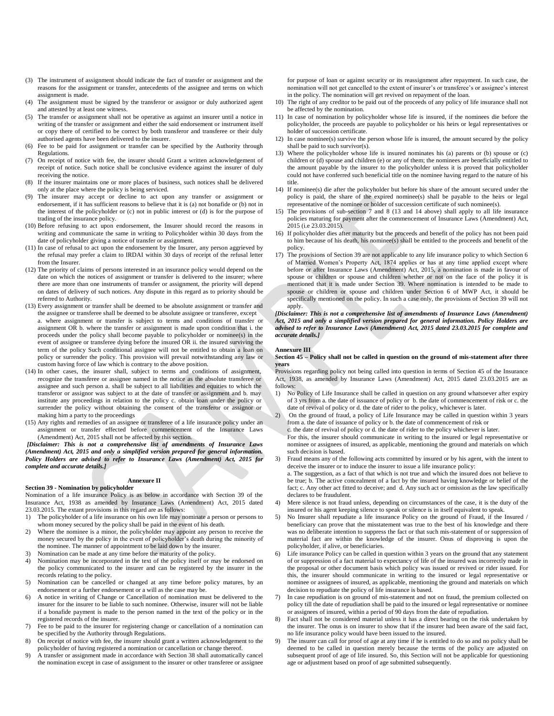- (3) The instrument of assignment should indicate the fact of transfer or assignment and the reasons for the assignment or transfer, antecedents of the assignee and terms on which assignment is made.
- The assignment must be signed by the transferor or assignor or duly authorized agent and attested by at least one witness.
- (5) The transfer or assignment shall not be operative as against an insurer until a notice in writing of the transfer or assignment and either the said endorsement or instrument itself or copy there of certified to be correct by both transferor and transferee or their duly authorised agents have been delivered to the insurer.
- (6) Fee to be paid for assignment or transfer can be specified by the Authority through Regulations.
- (7) On receipt of notice with fee, the insurer should Grant a written acknowledgement of receipt of notice. Such notice shall be conclusive evidence against the insurer of duly receiving the notice.
- (8) If the insurer maintains one or more places of business, such notices shall be delivered only at the place where the policy is being serviced.
- (9) The insurer may accept or decline to act upon any transfer or assignment or endorsement, if it has sufficient reasons to believe that it is (a) not bonafide or (b) not in the interest of the policyholder or (c) not in public interest or (d) is for the purpose of trading of the insurance policy.
- (10) Before refusing to act upon endorsement, the Insurer should record the reasons in writing and communicate the same in writing to Policyholder within 30 days from the date of policyholder giving a notice of transfer or assignment.
- (11) In case of refusal to act upon the endorsement by the Insurer, any person aggrieved by the refusal may prefer a claim to IRDAI within 30 days of receipt of the refusal letter from the Insurer
- (12) The priority of claims of persons interested in an insurance policy would depend on the date on which the notices of assignment or transfer is delivered to the insurer; where there are more than one instruments of transfer or assignment, the priority will depend on dates of delivery of such notices. Any dispute in this regard as to priority should be referred to Authority.
- (13) Every assignment or transfer shall be deemed to be absolute assignment or transfer and the assignee or transferee shall be deemed to be absolute assignee or transferee, except a. where assignment or transfer is subject to terms and conditions of transfer or assignment OR b. where the transfer or assignment is made upon condition that i. the proceeds under the policy shall become payable to policyholder or nominee(s) in the event of assignee or transferee dying before the insured OR ii. the insured surviving the term of the policy Such conditional assignee will not be entitled to obtain a loan on policy or surrender the policy. This provision will prevail notwithstanding any law or custom having force of law which is contrary to the above position.
- (14) In other cases, the insurer shall, subject to terms and conditions of assignment, recognize the transferee or assignee named in the notice as the absolute transferee or assignee and such person a. shall be subject to all liabilities and equities to which the transferor or assignor was subject to at the date of transfer or assignment and b. may institute any proceedings in relation to the policy c. obtain loan under the policy or surrender the policy without obtaining the consent of the transferor or assignor or making him a party to the proceedings
- (15) Any rights and remedies of an assignee or transferee of a life insurance policy under an assignment or transfer effected before commencement of the Insurance Laws (Amendment) Act, 2015 shall not be affected by this section.

*[Disclaimer: This is not a comprehensive list of amendments of Insurance Laws (Amendment) Act, 2015 and only a simplified version prepared for general information. Policy Holders are advised to refer to Insurance Laws (Amendment) Act, 2015 for complete and accurate details.]*

## **Annexure II**

#### **Section 39 - Nomination by policyholder**

Nomination of a life insurance Policy is as below in accordance with Section 39 of the Insurance Act, 1938 as amended by Insurance Laws (Amendment) Act, 2015 dated 23.03.2015. The extant provisions in this regard are as follows:

- 1) The policyholder of a life insurance on his own life may nominate a person or persons to whom money secured by the policy shall be paid in the event of his death.
- 2) Where the nominee is a minor, the policyholder may appoint any person to receive the money secured by the policy in the event of policyholder's death during the minority of the nominee. The manner of appointment to be laid down by the insurer.
- 3) Nomination can be made at any time before the maturity of the policy.<br>4) Nomination may be incorporated in the text of the policy itself or ma
- 4) Nomination may be incorporated in the text of the policy itself or may be endorsed on the policy communicated to the insurer and can be registered by the insurer in the records relating to the policy.
- 5) Nomination can be cancelled or changed at any time before policy matures, by an endorsement or a further endorsement or a will as the case may be.
- 6) A notice in writing of Change or Cancellation of nomination must be delivered to the insurer for the insurer to be liable to such nominee. Otherwise, insurer will not be liable if a bonafide payment is made to the person named in the text of the policy or in the registered records of the insurer.
- 7) Fee to be paid to the insurer for registering change or cancellation of a nomination can be specified by the Authority through Regulations.
- 8) On receipt of notice with fee, the insurer should grant a written acknowledgement to the policyholder of having registered a nomination or cancellation or change thereof.
- 9) A transfer or assignment made in accordance with Section 38 shall automatically cancel the nomination except in case of assignment to the insurer or other transferee or assignee

for purpose of loan or against security or its reassignment after repayment. In such case, the nomination will not get cancelled to the extent of insurer's or transferee's or assignee's interest in the policy. The nomination will get revived on repayment of the loan.

- The right of any creditor to be paid out of the proceeds of any policy of life insurance shall not be affected by the nomination.
- 11) In case of nomination by policyholder whose life is insured, if the nominees die before the policyholder, the proceeds are payable to policyholder or his heirs or legal representatives or holder of succession certificate.
- 12) In case nominee(s) survive the person whose life is insured, the amount secured by the policy shall be paid to such survivor(s).
- 13) Where the policyholder whose life is insured nominates his (a) parents or (b) spouse or (c) children or (d) spouse and children (e) or any of them; the nominees are beneficially entitled to the amount payable by the insurer to the policyholder unless it is proved that policyholder could not have conferred such beneficial title on the nominee having regard to the nature of his title.
- 14) If nominee(s) die after the policyholder but before his share of the amount secured under the policy is paid, the share of the expired nominee(s) shall be payable to the heirs or legal representative of the nominee or holder of succession certificate of such nominee(s).
- 15) The provisions of sub-section 7 and 8 (13 and 14 above) shall apply to all life insurance policies maturing for payment after the commencement of Insurance Laws (Amendment) Act, 2015 (i.e 23.03.2015).
- 16) If policyholder dies after maturity but the proceeds and benefit of the policy has not been paid to him because of his death, his nominee(s) shall be entitled to the proceeds and benefit of the policy.
- 17) The provisions of Section 39 are not applicable to any life insurance policy to which Section 6 of Married Women's Property Act, 1874 applies or has at any time applied except where before or after Insurance Laws (Amendment) Act, 2015, a nomination is made in favour of spouse or children or spouse and children whether or not on the face of the policy it is mentioned that it is made under Section 39. Where nomination is intended to be made to spouse or children or spouse and children under Section 6 of MWP Act, it should be specifically mentioned on the policy. In such a case only, the provisions of Section 39 will not apply.

*[Disclaimer: This is not a comprehensive list of amendments of Insurance Laws (Amendment) Act, 2015 and only a simplified version prepared for general information. Policy Holders are advised to refer to Insurance Laws (Amendment) Act, 2015 dated 23.03.2015 for complete and accurate details.]*

#### **Annexure III**

### **Section 45 – Policy shall not be called in question on the ground of mis-statement after three years**

Provisions regarding policy not being called into question in terms of Section 45 of the Insurance Act, 1938, as amended by Insurance Laws (Amendment) Act, 2015 dated 23.03.2015 are as follows:

- 1) No Policy of Life Insurance shall be called in question on any ground whatsoever after expiry of 3 yrs from a. the date of issuance of policy or b. the date of commencement of risk or c. the date of revival of policy or d. the date of rider to the policy, whichever is later.
- 2) On the ground of fraud, a policy of Life Insurance may be called in question within 3 years from a. the date of issuance of policy or b. the date of commencement of risk or
- c. the date of revival of policy or d. the date of rider to the policy whichever is later.

For this, the insurer should communicate in writing to the insured or legal representative or nominee or assignees of insured, as applicable, mentioning the ground and materials on which such decision is based.

3) Fraud means any of the following acts committed by insured or by his agent, with the intent to deceive the insurer or to induce the insurer to issue a life insurance policy:

a. The suggestion, as a fact of that which is not true and which the insured does not believe to be true; b. The active concealment of a fact by the insured having knowledge or belief of the fact; c. Any other act fitted to deceive; and d. Any such act or omission as the law specifically declares to be fraudulent.

- 4) Mere silence is not fraud unless, depending on circumstances of the case, it is the duty of the insured or his agent keeping silence to speak or silence is in itself equivalent to speak.
- 5) No Insurer shall repudiate a life insurance Policy on the ground of Fraud, if the Insured / beneficiary can prove that the misstatement was true to the best of his knowledge and there was no deliberate intention to suppress the fact or that such mis-statement of or suppression of material fact are within the knowledge of the insurer. Onus of disproving is upon the policyholder, if alive, or beneficiaries.
- Life insurance Policy can be called in question within 3 years on the ground that any statement of or suppression of a fact material to expectancy of life of the insured was incorrectly made in the proposal or other document basis which policy was issued or revived or rider issued. For this, the insurer should communicate in writing to the insured or legal representative or nominee or assignees of insured, as applicable, mentioning the ground and materials on which decision to repudiate the policy of life insurance is based.
- In case repudiation is on ground of mis-statement and not on fraud, the premium collected on policy till the date of repudiation shall be paid to the insured or legal representative or nominee or assignees of insured, within a period of 90 days from the date of repudiation.
- 8) Fact shall not be considered material unless it has a direct bearing on the risk undertaken by the insurer. The onus is on insurer to show that if the insurer had been aware of the said fact, no life insurance policy would have been issued to the insured.
- 9) The insurer can call for proof of age at any time if he is entitled to do so and no policy shall be deemed to be called in question merely because the terms of the policy are adjusted on subsequent proof of age of life insured. So, this Section will not be applicable for questioning age or adjustment based on proof of age submitted subsequently.